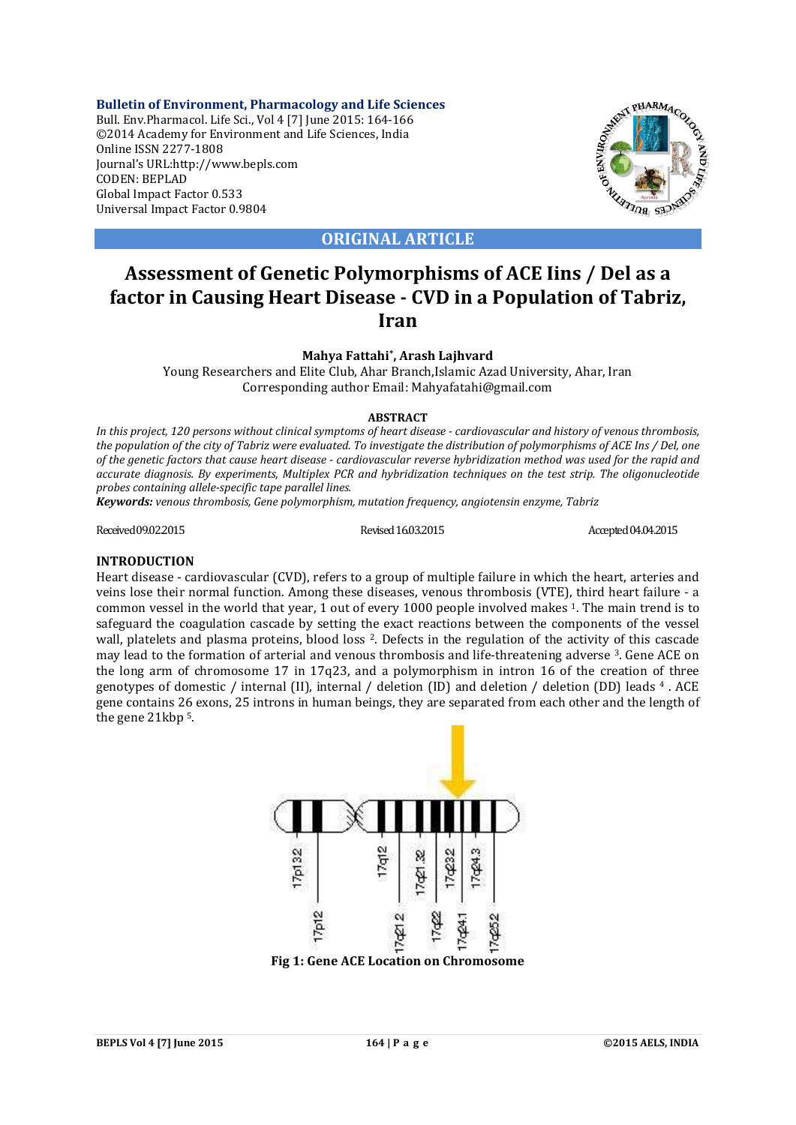**Bulletin of Environment, Pharmacology and Life Sciences** Bull. Env.Pharmacol. Life Sci., Vol 4 [7] June 2015: 164-166 ©2014 Academy for Environment and Life Sciences, India Online ISSN 2277-1808 Journal's URL:http://www.bepls.com CODEN: BEPLAD Global Impact Factor 0.533 Universal Impact Factor 0.9804



**ORIGINAL ARTICLE**

# **Assessment of Genetic Polymorphisms of ACE Iins / Del as a factor in Causing Heart Disease - CVD in a Population of Tabriz, Iran**

**Mahya Fattahi\*, Arash Lajhvard**

Young Researchers and Elite Club, Ahar Branch,Islamic Azad University, Ahar, Iran Corresponding author Email: Mahyafatahi@gmail.com

# **ABSTRACT**

*In this project, 120 persons without clinical symptoms of heart disease - cardiovascular and history of venous thrombosis, the population of the city of Tabriz were evaluated. To investigate the distribution of polymorphisms of ACE Ins / Del, one of the genetic factors that cause heart disease - cardiovascular reverse hybridization method was used for the rapid and accurate diagnosis. By experiments, Multiplex PCR and hybridization techniques on the test strip. The oligonucleotide probes containing allele-specific tape parallel lines.*

*Keywords: venous thrombosis, Gene polymorphism, mutation frequency, angiotensin enzyme, Tabriz*

Received 09.02.2015 Revised 16.03.2015 Revised 16.03.2015 Accepted 04.04.2015

# **INTRODUCTION**

Heart disease - cardiovascular (CVD), refers to a group of multiple failure in which the heart, arteries and veins lose their normal function. Among these diseases, venous thrombosis (VTE), third heart failure - a common vessel in the world that year, 1 out of every 1000 people involved makes 1. The main trend is to safeguard the coagulation cascade by setting the exact reactions between the components of the vessel wall, platelets and plasma proteins, blood loss 2. Defects in the regulation of the activity of this cascade may lead to the formation of arterial and venous thrombosis and life-threatening adverse 3. Gene ACE on the long arm of chromosome 17 in 17q23, and a polymorphism in intron 16 of the creation of three genotypes of domestic / internal (II), internal / deletion (ID) and deletion / deletion (DD) leads 4 . ACE gene contains 26 exons, 25 introns in human beings, they are separated from each other and the length of the gene 21kbp 5.



**Fig 1: Gene ACE Location on Chromosome**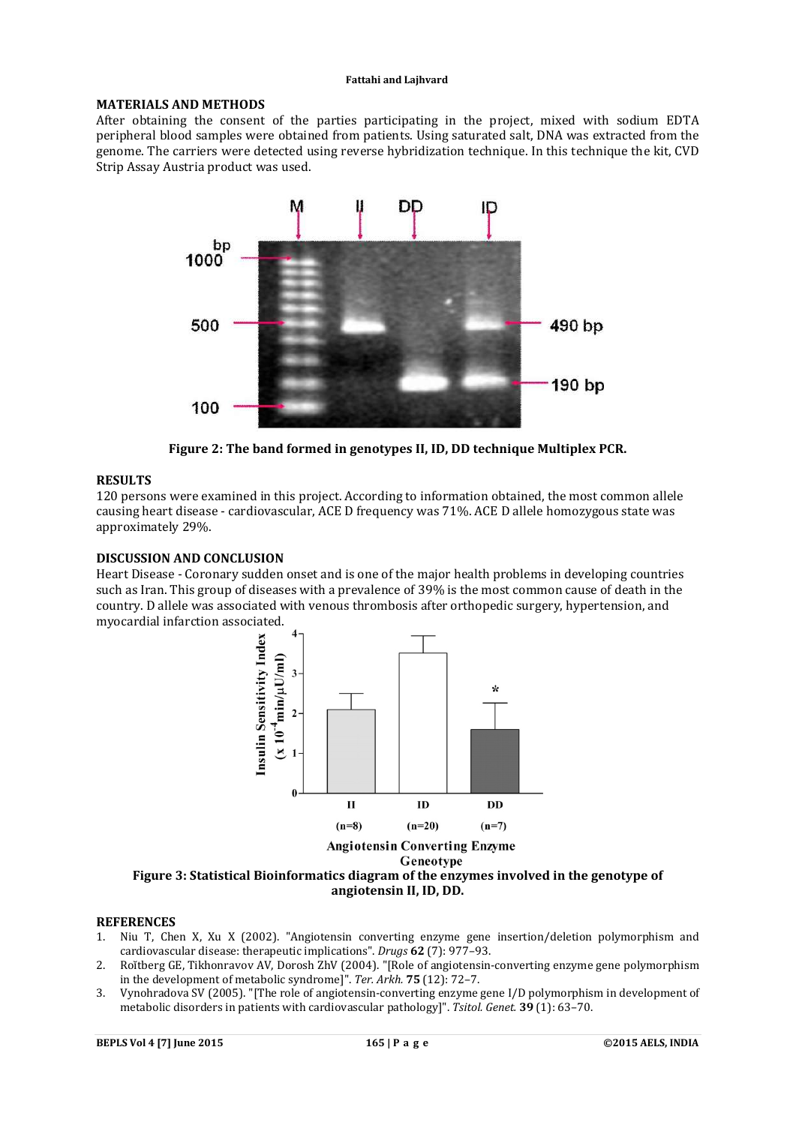#### **Fattahi and Lajhvard**

# **MATERIALS AND METHODS**

After obtaining the consent of the parties participating in the project, mixed with sodium EDTA peripheral blood samples were obtained from patients. Using saturated salt, DNA was extracted from the genome. The carriers were detected using reverse hybridization technique. In this technique the kit, CVD Strip Assay Austria product was used.



**Figure 2: The band formed in genotypes II, ID, DD technique Multiplex PCR.**

# **RESULTS**

120 persons were examined in this project. According to information obtained, the most common allele causing heart disease - cardiovascular, ACE D frequency was 71%. ACE D allele homozygous state was approximately 29%.

# **DISCUSSION AND CONCLUSION**

Heart Disease - Coronary sudden onset and is one of the major health problems in developing countries such as Iran. This group of diseases with a prevalence of 39% is the most common cause of death in the country. D allele was associated with venous thrombosis after orthopedic surgery, hypertension, and myocardial infarction associated.



#### Geneotype

# **Figure 3: Statistical Bioinformatics diagram of the enzymes involved in the genotype of angiotensin II, ID, DD.**

## **REFERENCES**

- 1. Niu T, Chen X, Xu X (2002). "Angiotensin converting enzyme gene insertion/deletion polymorphism and cardiovascular disease: therapeutic implications". *Drugs* **62** (7): 977–93.
- 2. Roĭtberg GE, Tikhonravov AV, Dorosh ZhV (2004). "[Role of angiotensin-converting enzyme gene polymorphism in the development of metabolic syndrome]". *Ter. Arkh.* **75** (12): 72–7.
- 3. Vynohradova SV (2005). "[The role of angiotensin-converting enzyme gene I/D polymorphism in development of metabolic disorders in patients with cardiovascular pathology]". *Tsitol. Genet.* **39** (1): 63–70.